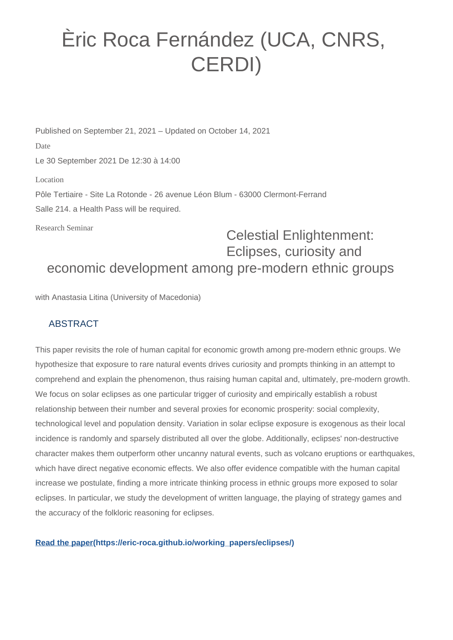## Èric Roca Fernández (UCA, CNRS, CERDI)

Published on September 21, 2021 – Updated on October 14, 2021 Date Le 30 September 2021 De 12:30 à 14:00 Location Pôle Tertiaire - Site La Rotonde - 26 avenue Léon Blum - 63000 Clermont-Ferrand Salle 214. a Health Pass will be required.

Research Seminar

## Celestial Enlightenment: Eclipses, curiosity and economic development among pre-modern ethnic groups

with Anastasia Litina (University of Macedonia)

## ABSTRACT

This paper revisits the role of human capital for economic growth among pre-modern ethnic groups. We hypothesize that exposure to rare natural events drives curiosity and prompts thinking in an attempt to comprehend and explain the phenomenon, thus raising human capital and, ultimately, pre-modern growth. We focus on solar eclipses as one particular trigger of curiosity and empirically establish a robust relationship between their number and several proxies for economic prosperity: social complexity, technological level and population density. Variation in solar eclipse exposure is exogenous as their local incidence is randomly and sparsely distributed all over the globe. Additionally, eclipses' non-destructive character makes them outperform other uncanny natural events, such as volcano eruptions or earthquakes, which have direct negative economic effects. We also offer evidence compatible with the human capital increase we postulate, finding a more intricate thinking process in ethnic groups more exposed to solar eclipses. In particular, we study the development of written language, the playing of strategy games and the accuracy of the folkloric reasoning for eclipses.

**[Read the paper\(https://eric-roca.github.io/working\\_papers/eclipses/\)](https://eric-roca.github.io/working_papers/eclipses/)**